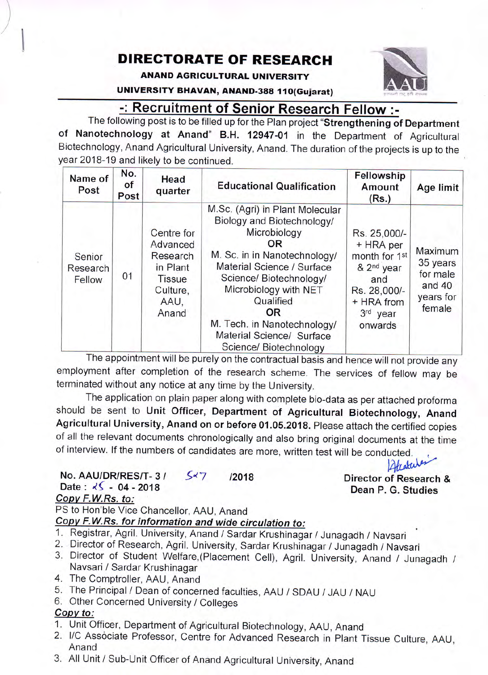## DIREGTORATE OF RESEARCH

ANAND AGRICULTURAL UNIVERSITY

UNIVERSITY BHAVAN, ANAND-388 110(Gujarat)

## -: Recruitment of Senior Researdh Fellow i

The following post is to be filled up for the Plan project "Strengthening of Department of Nanotechnology at Anand" B.H. 12947-01 in the Department of Agricultural Biotechnology, Anand Agricultural University, Anand. The duration of the projects is up to the year 2018-19 and likely to be continued.

| Name of<br>Post              | No.<br>of<br>Post | Head<br>quarter                                                                              | <b>Educational Qualification</b>                                                                                                                                                                                                                                                                                       | Fellowship<br>Amount<br>(Rs.)                                                                                                    | Age limit                                                          |
|------------------------------|-------------------|----------------------------------------------------------------------------------------------|------------------------------------------------------------------------------------------------------------------------------------------------------------------------------------------------------------------------------------------------------------------------------------------------------------------------|----------------------------------------------------------------------------------------------------------------------------------|--------------------------------------------------------------------|
| Senior<br>Research<br>Fellow | 01                | Centre for<br>Advanced<br>Research<br>in Plant<br><b>Tissue</b><br>Culture,<br>AAU.<br>Anand | M.Sc. (Agri) in Plant Molecular<br>Biology and Biotechnology/<br>Microbiology<br>OR.<br>M. Sc. in in Nanotechnology/<br>Material Science / Surface<br>Science/ Biotechnology/<br>Microbiology with NET<br>Qualified<br><b>OR</b><br>M. Tech. in Nanotechnology/<br>Material Science/ Surface<br>Science/ Biotechnology | Rs. 25,000/-<br>+ HRA per<br>month for 1st<br>& 2 <sup>nd</sup> year<br>and<br>Rs. 28,000/-<br>+ HRA from<br>3rd year<br>onwards | Maximum<br>35 years<br>for male<br>and $40$<br>years for<br>female |

The appointment will be purely on the contractual basis and hence will not provide any employment after completion of the research scheme. The services of fellow may be terminated without any notice at any time by the University.

The application on plain paper along with complete bio-data as per attached proforma should be sent to Unit Officer, Department of Agricultural Biotechnology, Anand Agricultural University, Anand on or before 01.05.2018. Please attach the certified copies of all the relevant documents chronologically and also bring original documents at the time of interview. lf the numbers of candidates are more, written test will be conducted.

No. AAU/DR/RES/T-3/  $5\frac{1}{7}$  /2018 Date:  $\sqrt{5}$  - 04 - 2018

### Copv F.W.Rs. to:

 $\frac{1}{2}$ 

PS to Hon'ble Vice Chancellor, AAU, Anand

Copy F.W.Rs. for information and wide circulation to:

- 1. Registrar, Agril. University, Anand / Sardar Krushinagar / Junagadh / Navsari
- 2. Director of Research, Agril. University, Sardar Krushinagar / Junagadh / Navsari
- 3. Director of Student Welfare,(Placement Cell), Agril. University, Anand / Junagadh / Navsari / Sardar Krushinagar
- 4. The Comptroller, AAU, Anand
- 5. The Principal / Dean of concerned faculties, AAU / sDAU / JAU / NAU
- 6. Other Concerned University / Colleges

#### Copv to:

- 1. Unit Officer, Department of Agricultural Biotechnology, AAU, Anand
- 2. l/C Associate Professor, Centre for Advanced Research in Plant Tissue Culture. AAU. Anand
- 3. All Unit / sub-Unit officer of Anand Agricultural University, Anand

Afrakce Director of Research & Dean P. G. Studies